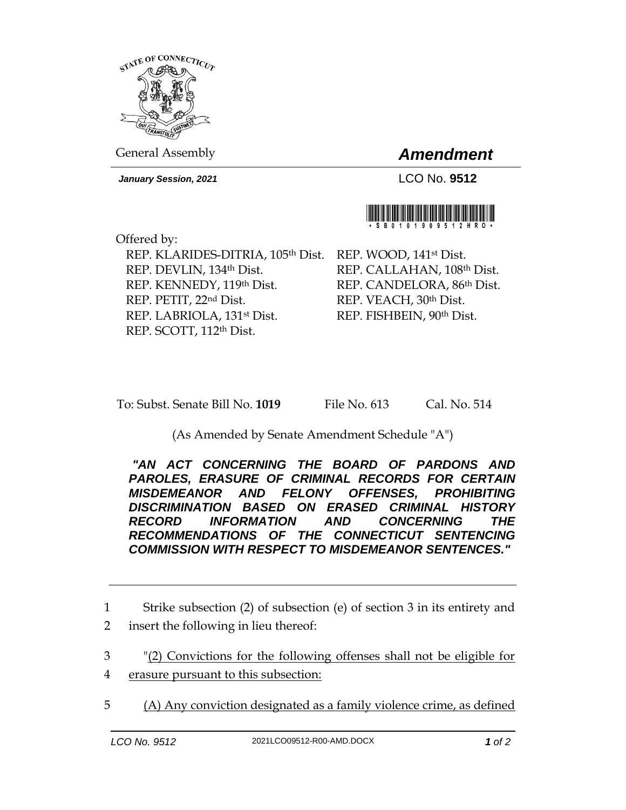

General Assembly *Amendment*

*January Session, 2021* LCO No. **9512**



Offered by: REP. KLARIDES-DITRIA, 105<sup>th</sup> Dist. REP. WOOD, 141<sup>st</sup> Dist. REP. DEVLIN, 134th Dist. REP. KENNEDY, 119th Dist. REP. PETIT, 22nd Dist. REP. LABRIOLA, 131st Dist. REP. SCOTT, 112th Dist.

REP. CALLAHAN, 108th Dist. REP. CANDELORA, 86th Dist. REP. VEACH, 30th Dist. REP. FISHBEIN, 90th Dist.

To: Subst. Senate Bill No. **1019** File No. 613 Cal. No. 514

(As Amended by Senate Amendment Schedule "A")

*"AN ACT CONCERNING THE BOARD OF PARDONS AND PAROLES, ERASURE OF CRIMINAL RECORDS FOR CERTAIN MISDEMEANOR AND FELONY OFFENSES, PROHIBITING DISCRIMINATION BASED ON ERASED CRIMINAL HISTORY RECORD INFORMATION AND CONCERNING THE RECOMMENDATIONS OF THE CONNECTICUT SENTENCING COMMISSION WITH RESPECT TO MISDEMEANOR SENTENCES."* 

1 Strike subsection (2) of subsection (e) of section 3 in its entirety and 2 insert the following in lieu thereof:

3 "(2) Convictions for the following offenses shall not be eligible for

- 4 erasure pursuant to this subsection:
- 5 (A) Any conviction designated as a family violence crime, as defined